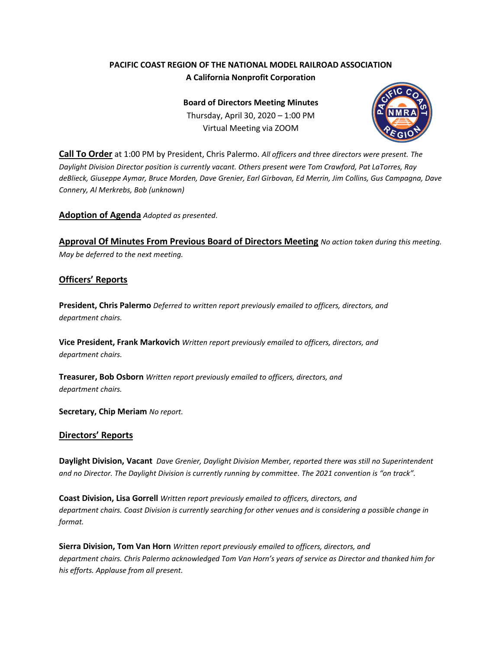# **PACIFIC COAST REGION OF THE NATIONAL MODEL RAILROAD ASSOCIATION A California Nonprofit Corporation**

**Board of Directors Meeting Minutes** Thursday, April 30, 2020 – 1:00 PM Virtual Meeting via ZOOM



**Call To Order** at 1:00 PM by President, Chris Palermo. *All officers and three directors were present. The Daylight Division Director position is currently vacant. Others present were Tom Crawford, Pat LaTorres, Ray deBlieck, Giuseppe Aymar, Bruce Morden, Dave Grenier, Earl Girbovan, Ed Merrin, Jim Collins, Gus Campagna, Dave Connery, Al Merkrebs, Bob (unknown)*

**Adoption of Agenda** *Adopted as presented.*

**Approval Of Minutes From Previous Board of Directors Meeting** *No action taken during this meeting. May be deferred to the next meeting.*

## **Officers' Reports**

**President, Chris Palermo** *Deferred to written report previously emailed to officers, directors, and department chairs.*

**Vice President, Frank Markovich** *Written report previously emailed to officers, directors, and department chairs.*

**Treasurer, Bob Osborn** *Written report previously emailed to officers, directors, and department chairs.* 

**Secretary, Chip Meriam** *No report.*

## **Directors' Reports**

**Daylight Division, Vacant** *Dave Grenier, Daylight Division Member, reported there was still no Superintendent and no Director. The Daylight Division is currently running by committee. The 2021 convention is "on track".*

**Coast Division, Lisa Gorrell** *Written report previously emailed to officers, directors, and department chairs. Coast Division is currently searching for other venues and is considering a possible change in format.*

**Sierra Division, Tom Van Horn** *Written report previously emailed to officers, directors, and department chairs. Chris Palermo acknowledged Tom Van Horn's years of service as Director and thanked him for his efforts. Applause from all present.*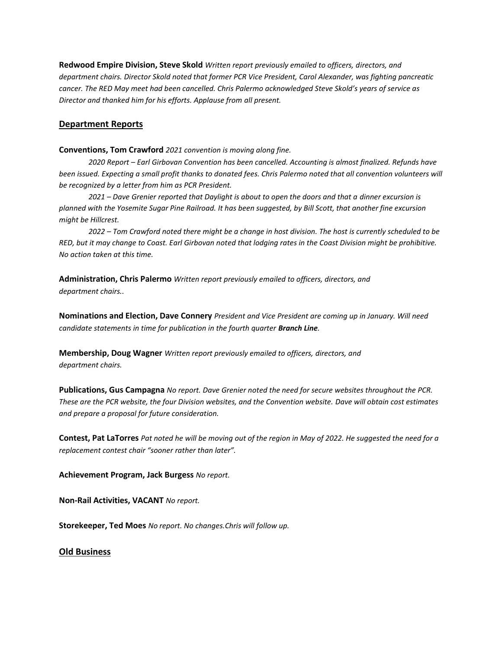**Redwood Empire Division, Steve Skold** *Written report previously emailed to officers, directors, and department chairs. Director Skold noted that former PCR Vice President, Carol Alexander, was fighting pancreatic cancer. The RED May meet had been cancelled. Chris Palermo acknowledged Steve Skold's years of service as Director and thanked him for his efforts. Applause from all present.*

## **Department Reports**

**Conventions, Tom Crawford** *2021 convention is moving along fine.*

*2020 Report – Earl Girbovan Convention has been cancelled. Accounting is almost finalized. Refunds have been issued. Expecting a small profit thanks to donated fees. Chris Palermo noted that all convention volunteers will be recognized by a letter from him as PCR President.*

*2021 – Dave Grenier reported that Daylight is about to open the doors and that a dinner excursion is planned with the Yosemite Sugar Pine Railroad. It has been suggested, by Bill Scott, that another fine excursion might be Hillcrest.*

*2022 – Tom Crawford noted there might be a change in host division. The host is currently scheduled to be RED, but it may change to Coast. Earl Girbovan noted that lodging rates in the Coast Division might be prohibitive. No action taken at this time.*

**Administration, Chris Palermo** *Written report previously emailed to officers, directors, and department chairs..*

**Nominations and Election, Dave Connery** *President and Vice President are coming up in January. Will need candidate statements in time for publication in the fourth quarter Branch Line.*

**Membership, Doug Wagner** *Written report previously emailed to officers, directors, and department chairs.* 

**Publications, Gus Campagna** *No report. Dave Grenier noted the need for secure websites throughout the PCR. These are the PCR website, the four Division websites, and the Convention website. Dave will obtain cost estimates and prepare a proposal for future consideration.*

**Contest, Pat LaTorres** *Pat noted he will be moving out of the region in May of 2022. He suggested the need for a replacement contest chair "sooner rather than later".*

**Achievement Program, Jack Burgess** *No report.*

**Non-Rail Activities, VACANT** *No report.*

**Storekeeper, Ted Moes** *No report. No changes.Chris will follow up.*

#### **Old Business**